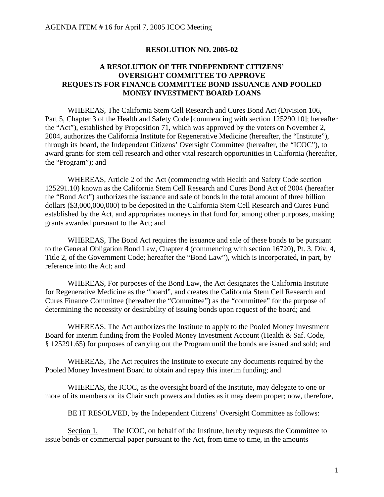## **RESOLUTION NO. 2005-02**

## **A RESOLUTION OF THE INDEPENDENT CITIZENS' OVERSIGHT COMMITTEE TO APPROVE REQUESTS FOR FINANCE COMMITTEE BOND ISSUANCE AND POOLED MONEY INVESTMENT BOARD LOANS**

WHEREAS, The California Stem Cell Research and Cures Bond Act (Division 106, Part 5, Chapter 3 of the Health and Safety Code [commencing with section 125290.10]; hereafter the "Act"), established by Proposition 71, which was approved by the voters on November 2, 2004, authorizes the California Institute for Regenerative Medicine (hereafter, the "Institute"), through its board, the Independent Citizens' Oversight Committee (hereafter, the "ICOC"), to award grants for stem cell research and other vital research opportunities in California (hereafter, the "Program"); and

 WHEREAS, Article 2 of the Act (commencing with Health and Safety Code section 125291.10) known as the California Stem Cell Research and Cures Bond Act of 2004 (hereafter the "Bond Act") authorizes the issuance and sale of bonds in the total amount of three billion dollars (\$3,000,000,000) to be deposited in the California Stem Cell Research and Cures Fund established by the Act, and appropriates moneys in that fund for, among other purposes, making grants awarded pursuant to the Act; and

 WHEREAS, The Bond Act requires the issuance and sale of these bonds to be pursuant to the General Obligation Bond Law, Chapter 4 (commencing with section 16720), Pt. 3, Div. 4, Title 2, of the Government Code; hereafter the "Bond Law"), which is incorporated, in part, by reference into the Act; and

 WHEREAS, For purposes of the Bond Law, the Act designates the California Institute for Regenerative Medicine as the "board", and creates the California Stem Cell Research and Cures Finance Committee (hereafter the "Committee") as the "committee" for the purpose of determining the necessity or desirability of issuing bonds upon request of the board; and

 WHEREAS, The Act authorizes the Institute to apply to the Pooled Money Investment Board for interim funding from the Pooled Money Investment Account (Health & Saf. Code, § 125291.65) for purposes of carrying out the Program until the bonds are issued and sold; and

 WHEREAS, The Act requires the Institute to execute any documents required by the Pooled Money Investment Board to obtain and repay this interim funding; and

 WHEREAS, the ICOC, as the oversight board of the Institute, may delegate to one or more of its members or its Chair such powers and duties as it may deem proper; now, therefore,

BE IT RESOLVED, by the Independent Citizens' Oversight Committee as follows:

Section 1. The ICOC, on behalf of the Institute, hereby requests the Committee to issue bonds or commercial paper pursuant to the Act, from time to time, in the amounts